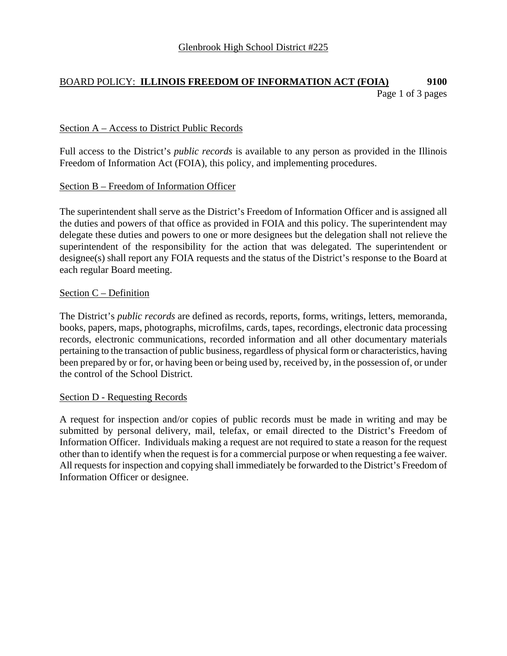# BOARD POLICY: **ILLINOIS FREEDOM OF INFORMATION ACT (FOIA) 9100** Page 1 of 3 pages

### Section A – Access to District Public Records

Full access to the District's *public records* is available to any person as provided in the Illinois Freedom of Information Act (FOIA), this policy, and implementing procedures.

## Section B – Freedom of Information Officer

The superintendent shall serve as the District's Freedom of Information Officer and is assigned all the duties and powers of that office as provided in FOIA and this policy. The superintendent may delegate these duties and powers to one or more designees but the delegation shall not relieve the superintendent of the responsibility for the action that was delegated. The superintendent or designee(s) shall report any FOIA requests and the status of the District's response to the Board at each regular Board meeting.

#### Section C – Definition

The District's *public records* are defined as records, reports, forms, writings, letters, memoranda, books, papers, maps, photographs, microfilms, cards, tapes, recordings, electronic data processing records, electronic communications, recorded information and all other documentary materials pertaining to the transaction of public business, regardless of physical form or characteristics, having been prepared by or for, or having been or being used by, received by, in the possession of, or under the control of the School District.

#### Section D - Requesting Records

A request for inspection and/or copies of public records must be made in writing and may be submitted by personal delivery, mail, telefax, or email directed to the District's Freedom of Information Officer. Individuals making a request are not required to state a reason for the request other than to identify when the request is for a commercial purpose or when requesting a fee waiver. All requests for inspection and copying shall immediately be forwarded to the District's Freedom of Information Officer or designee.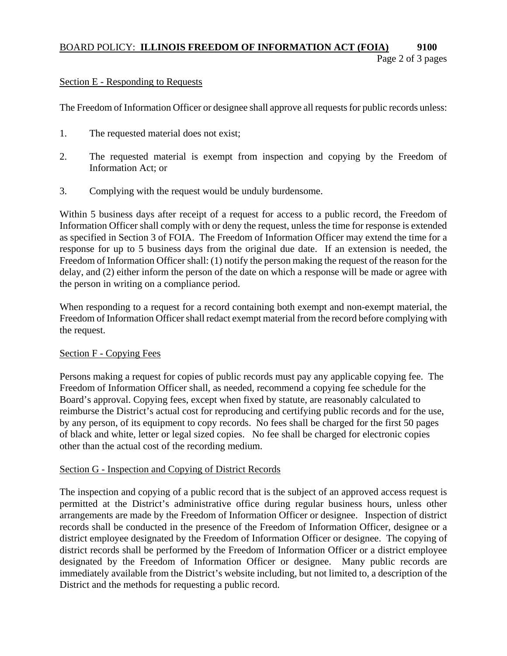## BOARD POLICY: **ILLINOIS FREEDOM OF INFORMATION ACT (FOIA) 9100**  Page 2 of 3 pages

## Section E - Responding to Requests

The Freedom of Information Officer or designee shall approve all requests for public records unless:

- 1. The requested material does not exist;
- 2. The requested material is exempt from inspection and copying by the Freedom of Information Act; or
- 3. Complying with the request would be unduly burdensome.

Within 5 business days after receipt of a request for access to a public record, the Freedom of Information Officer shall comply with or deny the request, unless the time for response is extended as specified in Section 3 of FOIA. The Freedom of Information Officer may extend the time for a response for up to 5 business days from the original due date. If an extension is needed, the Freedom of Information Officer shall: (1) notify the person making the request of the reason for the delay, and (2) either inform the person of the date on which a response will be made or agree with the person in writing on a compliance period.

When responding to a request for a record containing both exempt and non-exempt material, the Freedom of Information Officer shall redact exempt material from the record before complying with the request.

#### Section F - Copying Fees

Persons making a request for copies of public records must pay any applicable copying fee. The Freedom of Information Officer shall, as needed, recommend a copying fee schedule for the Board's approval. Copying fees, except when fixed by statute, are reasonably calculated to reimburse the District's actual cost for reproducing and certifying public records and for the use, by any person, of its equipment to copy records. No fees shall be charged for the first 50 pages of black and white, letter or legal sized copies. No fee shall be charged for electronic copies other than the actual cost of the recording medium.

#### Section G - Inspection and Copying of District Records

The inspection and copying of a public record that is the subject of an approved access request is permitted at the District's administrative office during regular business hours, unless other arrangements are made by the Freedom of Information Officer or designee. Inspection of district records shall be conducted in the presence of the Freedom of Information Officer, designee or a district employee designated by the Freedom of Information Officer or designee. The copying of district records shall be performed by the Freedom of Information Officer or a district employee designated by the Freedom of Information Officer or designee. Many public records are immediately available from the District's website including, but not limited to, a description of the District and the methods for requesting a public record.